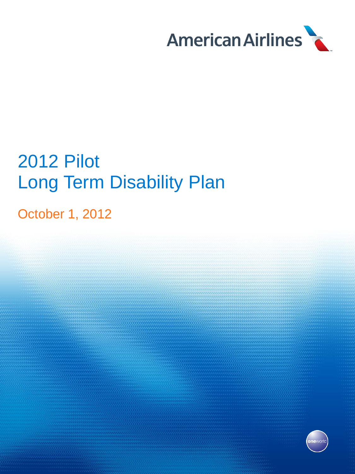

# 2012 Pilot Long Term Disability Plan

October 1, 2012

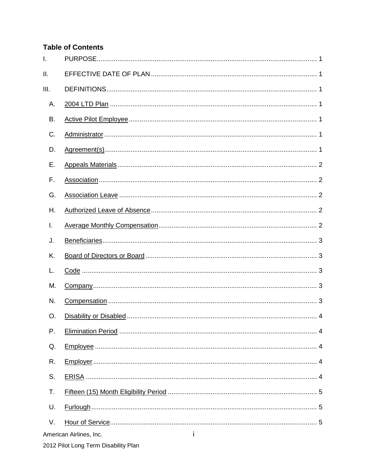# **Table of Contents**

| I.   |  |
|------|--|
| II.  |  |
| III. |  |
| Α.   |  |
| В.   |  |
| C.   |  |
| D.   |  |
| Ε.   |  |
| F.   |  |
| G.   |  |
| Η.   |  |
| I.   |  |
| J.   |  |
| K.   |  |
|      |  |
| L.   |  |
| M.   |  |
| N.   |  |
| O.   |  |
| Ρ.   |  |
| Q.   |  |
| R.   |  |
| S.   |  |
| T.   |  |
| U.   |  |
| V.   |  |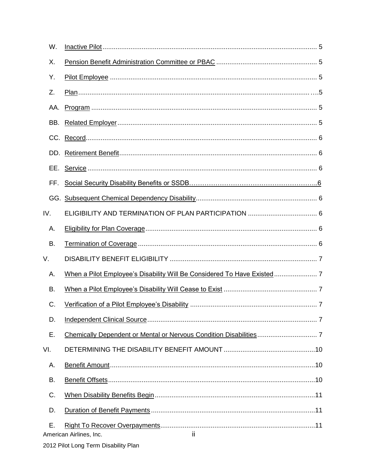| W.  |                                                                         |  |
|-----|-------------------------------------------------------------------------|--|
| Χ.  |                                                                         |  |
| Υ.  |                                                                         |  |
| Z.  |                                                                         |  |
| AA. |                                                                         |  |
| BB. |                                                                         |  |
|     |                                                                         |  |
|     |                                                                         |  |
|     |                                                                         |  |
| FF. |                                                                         |  |
|     |                                                                         |  |
| IV. |                                                                         |  |
| А.  |                                                                         |  |
| В.  |                                                                         |  |
| V.  |                                                                         |  |
| Α.  | When a Pilot Employee's Disability Will Be Considered To Have Existed 7 |  |
| В.  |                                                                         |  |
| C.  |                                                                         |  |
| D.  |                                                                         |  |
| Ε.  |                                                                         |  |
| VI. |                                                                         |  |
| А.  |                                                                         |  |
| В.  |                                                                         |  |
| C.  |                                                                         |  |
| D.  |                                                                         |  |
| Ε.  | ii.<br>American Airlines, Inc.                                          |  |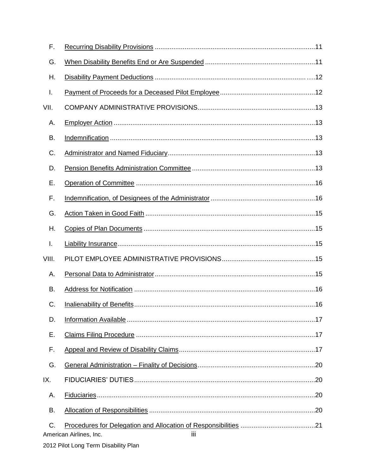| F.    |                                |  |  |
|-------|--------------------------------|--|--|
| G.    |                                |  |  |
| Η.    |                                |  |  |
| I.    |                                |  |  |
| VII.  |                                |  |  |
| А.    |                                |  |  |
| В.    |                                |  |  |
| C.    |                                |  |  |
| D.    |                                |  |  |
| Ε.    |                                |  |  |
| F.    |                                |  |  |
| G.    |                                |  |  |
| Η.    |                                |  |  |
| I.    |                                |  |  |
| VIII. |                                |  |  |
| А.    |                                |  |  |
| В.    |                                |  |  |
| C.    |                                |  |  |
| D.    |                                |  |  |
| Ε.    |                                |  |  |
| F.    |                                |  |  |
| G.    |                                |  |  |
| IX.   |                                |  |  |
| Α.    |                                |  |  |
| В.    |                                |  |  |
| C.    | iij<br>American Airlines, Inc. |  |  |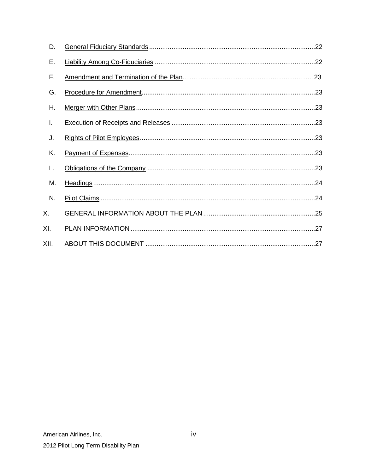| D.   |  |
|------|--|
| Ε.   |  |
| F.   |  |
| G.   |  |
| Η.   |  |
| I.   |  |
| J.   |  |
| Κ.   |  |
| L.   |  |
| M.   |  |
| N.   |  |
| Χ.   |  |
| XI.  |  |
| XII. |  |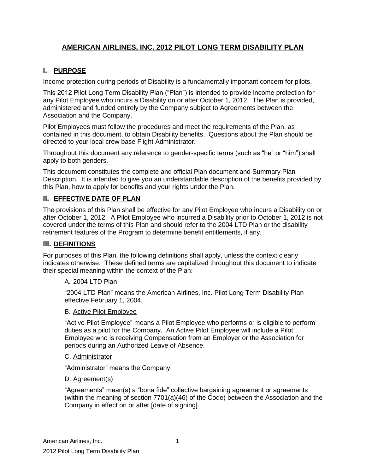# **AMERICAN AIRLINES, INC. 2012 PILOT LONG TERM DISABILITY PLAN**

# **I. PURPOSE**

Income protection during periods of Disability is a fundamentally important concern for pilots.

This 2012 Pilot Long Term Disability Plan ("Plan") is intended to provide income protection for any Pilot Employee who incurs a Disability on or after October 1, 2012. The Plan is provided, administered and funded entirely by the Company subject to Agreements between the Association and the Company.

Pilot Employees must follow the procedures and meet the requirements of the Plan, as contained in this document, to obtain Disability benefits. Questions about the Plan should be directed to your local crew base Flight Administrator.

Throughout this document any reference to gender-specific terms (such as "he" or "him") shall apply to both genders.

This document constitutes the complete and official Plan document and Summary Plan Description. It is intended to give you an understandable description of the benefits provided by this Plan, how to apply for benefits and your rights under the Plan.

# **II. EFFECTIVE DATE OF PLAN**

The provisions of this Plan shall be effective for any Pilot Employee who incurs a Disability on or after October 1, 2012. A Pilot Employee who incurred a Disability prior to October 1, 2012 is not covered under the terms of this Plan and should refer to the 2004 LTD Plan or the disability retirement features of the Program to determine benefit entitlements, if any.

#### **III. DEFINITIONS**

For purposes of this Plan, the following definitions shall apply, unless the context clearly indicates otherwise. These defined terms are capitalized throughout this document to indicate their special meaning within the context of the Plan:

#### A. 2004 LTD Plan

"2004 LTD Plan" means the American Airlines, Inc. Pilot Long Term Disability Plan effective February 1, 2004.

#### B. Active Pilot Employee

"Active Pilot Employee" means a Pilot Employee who performs or is eligible to perform duties as a pilot for the Company. An Active Pilot Employee will include a Pilot Employee who is receiving Compensation from an Employer or the Association for periods during an Authorized Leave of Absence.

#### C. Administrator

"Administrator" means the Company.

#### D. Agreement(s)

"Agreements" mean(s) a "bona fide" collective bargaining agreement or agreements (within the meaning of section 7701(a)(46) of the Code) between the Association and the Company in effect on or after [date of signing].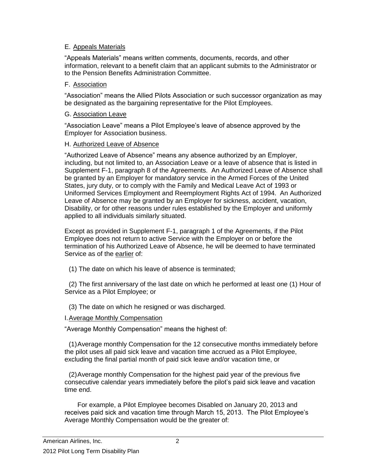#### E. Appeals Materials

"Appeals Materials" means written comments, documents, records, and other information, relevant to a benefit claim that an applicant submits to the Administrator or to the Pension Benefits Administration Committee.

#### F. Association

"Association" means the Allied Pilots Association or such successor organization as may be designated as the bargaining representative for the Pilot Employees.

#### G. Association Leave

"Association Leave" means a Pilot Employee's leave of absence approved by the Employer for Association business.

#### H. Authorized Leave of Absence

"Authorized Leave of Absence" means any absence authorized by an Employer, including, but not limited to, an Association Leave or a leave of absence that is listed in Supplement F-1, paragraph 8 of the Agreements. An Authorized Leave of Absence shall be granted by an Employer for mandatory service in the Armed Forces of the United States, jury duty, or to comply with the Family and Medical Leave Act of 1993 or Uniformed Services Employment and Reemployment Rights Act of 1994. An Authorized Leave of Absence may be granted by an Employer for sickness, accident, vacation, Disability, or for other reasons under rules established by the Employer and uniformly applied to all individuals similarly situated.

Except as provided in Supplement F-1, paragraph 1 of the Agreements, if the Pilot Employee does not return to active Service with the Employer on or before the termination of his Authorized Leave of Absence, he will be deemed to have terminated Service as of the earlier of:

(1) The date on which his leave of absence is terminated;

(2) The first anniversary of the last date on which he performed at least one (1) Hour of Service as a Pilot Employee; or

(3) The date on which he resigned or was discharged.

#### I.Average Monthly Compensation

"Average Monthly Compensation" means the highest of:

(1)Average monthly Compensation for the 12 consecutive months immediately before the pilot uses all paid sick leave and vacation time accrued as a Pilot Employee, excluding the final partial month of paid sick leave and/or vacation time, or

(2)Average monthly Compensation for the highest paid year of the previous five consecutive calendar years immediately before the pilot's paid sick leave and vacation time end.

For example, a Pilot Employee becomes Disabled on January 20, 2013 and receives paid sick and vacation time through March 15, 2013. The Pilot Employee's Average Monthly Compensation would be the greater of: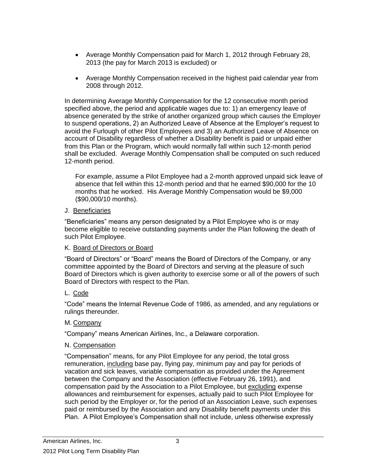- Average Monthly Compensation paid for March 1, 2012 through February 28, 2013 (the pay for March 2013 is excluded) or
- Average Monthly Compensation received in the highest paid calendar year from 2008 through 2012.

In determining Average Monthly Compensation for the 12 consecutive month period specified above, the period and applicable wages due to: 1) an emergency leave of absence generated by the strike of another organized group which causes the Employer to suspend operations, 2) an Authorized Leave of Absence at the Employer's request to avoid the Furlough of other Pilot Employees and 3) an Authorized Leave of Absence on account of Disability regardless of whether a Disability benefit is paid or unpaid either from this Plan or the Program, which would normally fall within such 12-month period shall be excluded. Average Monthly Compensation shall be computed on such reduced 12-month period.

For example, assume a Pilot Employee had a 2-month approved unpaid sick leave of absence that fell within this 12-month period and that he earned \$90,000 for the 10 months that he worked. His Average Monthly Compensation would be \$9,000 (\$90,000/10 months).

#### J. Beneficiaries

"Beneficiaries" means any person designated by a Pilot Employee who is or may become eligible to receive outstanding payments under the Plan following the death of such Pilot Employee.

#### K. Board of Directors or Board

"Board of Directors" or "Board" means the Board of Directors of the Company, or any committee appointed by the Board of Directors and serving at the pleasure of such Board of Directors which is given authority to exercise some or all of the powers of such Board of Directors with respect to the Plan.

#### L. Code

"Code" means the Internal Revenue Code of 1986, as amended, and any regulations or rulings thereunder.

#### M. Company

"Company" means American Airlines, Inc., a Delaware corporation.

#### N. Compensation

"Compensation" means, for any Pilot Employee for any period, the total gross remuneration, including base pay, flying pay, minimum pay and pay for periods of vacation and sick leaves, variable compensation as provided under the Agreement between the Company and the Association (effective February 26, 1991), and compensation paid by the Association to a Pilot Employee, but excluding expense allowances and reimbursement for expenses, actually paid to such Pilot Employee for such period by the Employer or, for the period of an Association Leave, such expenses paid or reimbursed by the Association and any Disability benefit payments under this Plan. A Pilot Employee's Compensation shall not include, unless otherwise expressly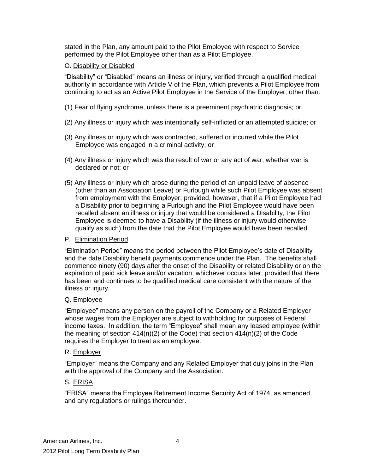stated in the Plan, any amount paid to the Pilot Employee with respect to Service performed by the Pilot Employee other than as a Pilot Employee.

# O. Disability or Disabled

"Disability" or "Disabled" means an illness or injury, verified through a qualified medical authority in accordance with Article V of the Plan, which prevents a Pilot Employee from continuing to act as an Active Pilot Employee in the Service of the Employer, other than:

- (1) Fear of flying syndrome, unless there is a preeminent psychiatric diagnosis; or
- (2) Any illness or injury which was intentionally self-inflicted or an attempted suicide; or
- (3) Any illness or injury which was contracted, suffered or incurred while the Pilot Employee was engaged in a criminal activity; or
- (4) Any illness or injury which was the result of war or any act of war, whether war is declared or not; or
- (5) Any illness or injury which arose during the period of an unpaid leave of absence (other than an Association Leave) or Furlough while such Pilot Employee was absent from employment with the Employer; provided, however, that if a Pilot Employee had a Disability prior to beginning a Furlough and the Pilot Employee would have been recalled absent an illness or injury that would be considered a Disability, the Pilot Employee is deemed to have a Disability (if the illness or injury would otherwise qualify as such) from the date that the Pilot Employee would have been recalled.

# P. Elimination Period

"Elimination Period" means the period between the Pilot Employee's date of Disability and the date Disability benefit payments commence under the Plan. The benefits shall commence ninety (90) days after the onset of the Disability or related Disability or on the expiration of paid sick leave and/or vacation, whichever occurs later; provided that there has been and continues to be qualified medical care consistent with the nature of the illness or injury.

# Q. Employee

"Employee" means any person on the payroll of the Company or a Related Employer whose wages from the Employer are subject to withholding for purposes of Federal income taxes. In addition, the term "Employee" shall mean any leased employee (within the meaning of section  $414(n)(2)$  of the Code) that section  $414(n)(2)$  of the Code requires the Employer to treat as an employee.

# R. Employer

"Employer" means the Company and any Related Employer that duly joins in the Plan with the approval of the Company and the Association.

# S. ERISA

"ERISA" means the Employee Retirement Income Security Act of 1974, as amended, and any regulations or rulings thereunder.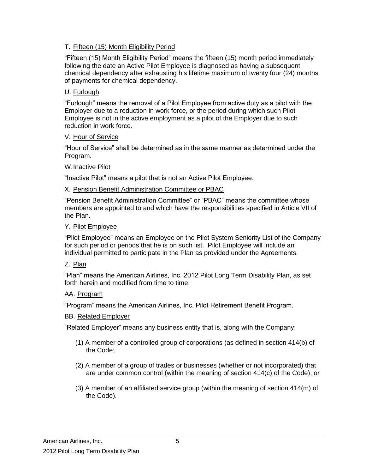#### T. Fifteen (15) Month Eligibility Period

"Fifteen (15) Month Eligibility Period" means the fifteen (15) month period immediately following the date an Active Pilot Employee is diagnosed as having a subsequent chemical dependency after exhausting his lifetime maximum of twenty four (24) months of payments for chemical dependency.

#### U. Furlough

"Furlough" means the removal of a Pilot Employee from active duty as a pilot with the Employer due to a reduction in work force, or the period during which such Pilot Employee is not in the active employment as a pilot of the Employer due to such reduction in work force.

#### V. Hour of Service

"Hour of Service" shall be determined as in the same manner as determined under the Program.

#### W.Inactive Pilot

"Inactive Pilot" means a pilot that is not an Active Pilot Employee.

#### X. Pension Benefit Administration Committee or PBAC

"Pension Benefit Administration Committee" or "PBAC" means the committee whose members are appointed to and which have the responsibilities specified in Article VII of the Plan.

#### Y. Pilot Employee

"Pilot Employee" means an Employee on the Pilot System Seniority List of the Company for such period or periods that he is on such list. Pilot Employee will include an individual permitted to participate in the Plan as provided under the Agreements.

#### Z. Plan

"Plan" means the American Airlines, Inc. 2012 Pilot Long Term Disability Plan, as set forth herein and modified from time to time.

#### AA. Program

"Program" means the American Airlines, Inc. Pilot Retirement Benefit Program.

#### BB. Related Employer

"Related Employer" means any business entity that is, along with the Company:

- (1) A member of a controlled group of corporations (as defined in section 414(b) of the Code;
- (2) A member of a group of trades or businesses (whether or not incorporated) that are under common control (within the meaning of section 414(c) of the Code); or
- (3) A member of an affiliated service group (within the meaning of section 414(m) of the Code).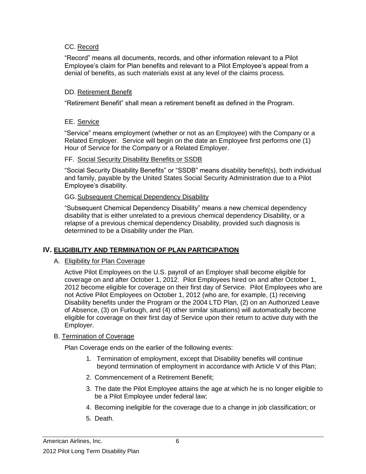#### CC. Record

"Record" means all documents, records, and other information relevant to a Pilot Employee's claim for Plan benefits and relevant to a Pilot Employee's appeal from a denial of benefits, as such materials exist at any level of the claims process.

#### DD. Retirement Benefit

"Retirement Benefit" shall mean a retirement benefit as defined in the Program.

#### EE. Service

"Service" means employment (whether or not as an Employee) with the Company or a Related Employer. Service will begin on the date an Employee first performs one (1) Hour of Service for the Company or a Related Employer.

#### FF. Social Security Disability Benefits or SSDB

"Social Security Disability Benefits" or "SSDB" means disability benefit(s), both individual and family, payable by the United States Social Security Administration due to a Pilot Employee's disability.

#### GG.Subsequent Chemical Dependency Disability

"Subsequent Chemical Dependency Disability" means a new chemical dependency disability that is either unrelated to a previous chemical dependency Disability, or a relapse of a previous chemical dependency Disability, provided such diagnosis is determined to be a Disability under the Plan.

# **IV. ELIGIBILITY AND TERMINATION OF PLAN PARTICIPATION**

#### A. Eligibility for Plan Coverage

Active Pilot Employees on the U.S. payroll of an Employer shall become eligible for coverage on and after October 1, 2012. Pilot Employees hired on and after October 1, 2012 become eligible for coverage on their first day of Service. Pilot Employees who are not Active Pilot Employees on October 1, 2012 (who are, for example, (1) receiving Disability benefits under the Program or the 2004 LTD Plan, (2) on an Authorized Leave of Absence, (3) on Furlough, and (4) other similar situations) will automatically become eligible for coverage on their first day of Service upon their return to active duty with the Employer.

#### B. Termination of Coverage

Plan Coverage ends on the earlier of the following events:

- 1. Termination of employment, except that Disability benefits will continue beyond termination of employment in accordance with Article V of this Plan;
- 2. Commencement of a Retirement Benefit;
- 3. The date the Pilot Employee attains the age at which he is no longer eligible to be a Pilot Employee under federal law;
- 4. Becoming ineligible for the coverage due to a change in job classification; or
- 5. Death.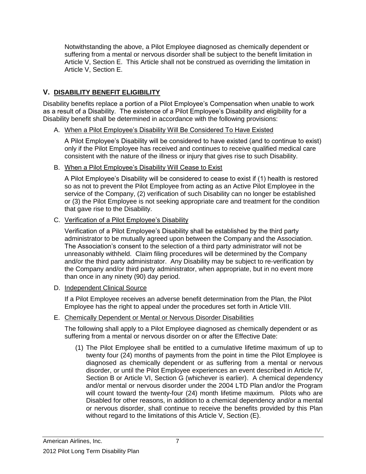Notwithstanding the above, a Pilot Employee diagnosed as chemically dependent or suffering from a mental or nervous disorder shall be subject to the benefit limitation in Article V, Section E. This Article shall not be construed as overriding the limitation in Article V, Section E.

# **V. DISABILITY BENEFIT ELIGIBILITY**

Disability benefits replace a portion of a Pilot Employee's Compensation when unable to work as a result of a Disability. The existence of a Pilot Employee's Disability and eligibility for a Disability benefit shall be determined in accordance with the following provisions:

#### A. When a Pilot Employee's Disability Will Be Considered To Have Existed

A Pilot Employee's Disability will be considered to have existed (and to continue to exist) only if the Pilot Employee has received and continues to receive qualified medical care consistent with the nature of the illness or injury that gives rise to such Disability.

#### B. When a Pilot Employee's Disability Will Cease to Exist

A Pilot Employee's Disability will be considered to cease to exist if (1) health is restored so as not to prevent the Pilot Employee from acting as an Active Pilot Employee in the service of the Company, (2) verification of such Disability can no longer be established or (3) the Pilot Employee is not seeking appropriate care and treatment for the condition that gave rise to the Disability.

#### C. Verification of a Pilot Employee's Disability

Verification of a Pilot Employee's Disability shall be established by the third party administrator to be mutually agreed upon between the Company and the Association. The Association's consent to the selection of a third party administrator will not be unreasonably withheld. Claim filing procedures will be determined by the Company and/or the third party administrator. Any Disability may be subject to re-verification by the Company and/or third party administrator, when appropriate, but in no event more than once in any ninety (90) day period.

#### D. Independent Clinical Source

If a Pilot Employee receives an adverse benefit determination from the Plan, the Pilot Employee has the right to appeal under the procedures set forth in Article VIII.

#### E. Chemically Dependent or Mental or Nervous Disorder Disabilities

The following shall apply to a Pilot Employee diagnosed as chemically dependent or as suffering from a mental or nervous disorder on or after the Effective Date:

(1) The Pilot Employee shall be entitled to a cumulative lifetime maximum of up to twenty four (24) months of payments from the point in time the Pilot Employee is diagnosed as chemically dependent or as suffering from a mental or nervous disorder, or until the Pilot Employee experiences an event described in Article IV, Section B or Article VI, Section G (whichever is earlier). A chemical dependency and/or mental or nervous disorder under the 2004 LTD Plan and/or the Program will count toward the twenty-four (24) month lifetime maximum. Pilots who are Disabled for other reasons, in addition to a chemical dependency and/or a mental or nervous disorder, shall continue to receive the benefits provided by this Plan without regard to the limitations of this Article V, Section (E).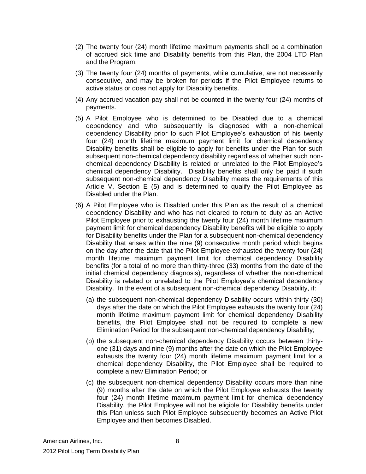- (2) The twenty four (24) month lifetime maximum payments shall be a combination of accrued sick time and Disability benefits from this Plan, the 2004 LTD Plan and the Program.
- (3) The twenty four (24) months of payments, while cumulative, are not necessarily consecutive, and may be broken for periods if the Pilot Employee returns to active status or does not apply for Disability benefits.
- (4) Any accrued vacation pay shall not be counted in the twenty four (24) months of payments.
- (5) A Pilot Employee who is determined to be Disabled due to a chemical dependency and who subsequently is diagnosed with a non-chemical dependency Disability prior to such Pilot Employee's exhaustion of his twenty four (24) month lifetime maximum payment limit for chemical dependency Disability benefits shall be eligible to apply for benefits under the Plan for such subsequent non-chemical dependency disability regardless of whether such nonchemical dependency Disability is related or unrelated to the Pilot Employee's chemical dependency Disability. Disability benefits shall only be paid if such subsequent non-chemical dependency Disability meets the requirements of this Article V, Section E (5) and is determined to qualify the Pilot Employee as Disabled under the Plan.
- (6) A Pilot Employee who is Disabled under this Plan as the result of a chemical dependency Disability and who has not cleared to return to duty as an Active Pilot Employee prior to exhausting the twenty four (24) month lifetime maximum payment limit for chemical dependency Disability benefits will be eligible to apply for Disability benefits under the Plan for a subsequent non-chemical dependency Disability that arises within the nine (9) consecutive month period which begins on the day after the date that the Pilot Employee exhausted the twenty four (24) month lifetime maximum payment limit for chemical dependency Disability benefits (for a total of no more than thirty-three (33) months from the date of the initial chemical dependency diagnosis), regardless of whether the non-chemical Disability is related or unrelated to the Pilot Employee's chemical dependency Disability. In the event of a subsequent non-chemical dependency Disability, if:
	- (a) the subsequent non-chemical dependency Disability occurs within thirty (30) days after the date on which the Pilot Employee exhausts the twenty four (24) month lifetime maximum payment limit for chemical dependency Disability benefits, the Pilot Employee shall not be required to complete a new Elimination Period for the subsequent non-chemical dependency Disability;
	- (b) the subsequent non-chemical dependency Disability occurs between thirtyone (31) days and nine (9) months after the date on which the Pilot Employee exhausts the twenty four (24) month lifetime maximum payment limit for a chemical dependency Disability, the Pilot Employee shall be required to complete a new Elimination Period; or
	- (c) the subsequent non-chemical dependency Disability occurs more than nine (9) months after the date on which the Pilot Employee exhausts the twenty four (24) month lifetime maximum payment limit for chemical dependency Disability, the Pilot Employee will not be eligible for Disability benefits under this Plan unless such Pilot Employee subsequently becomes an Active Pilot Employee and then becomes Disabled.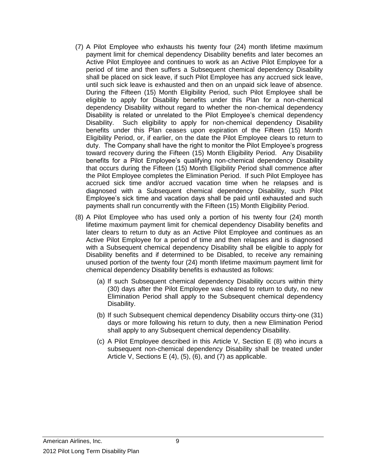- (7) A Pilot Employee who exhausts his twenty four (24) month lifetime maximum payment limit for chemical dependency Disability benefits and later becomes an Active Pilot Employee and continues to work as an Active Pilot Employee for a period of time and then suffers a Subsequent chemical dependency Disability shall be placed on sick leave, if such Pilot Employee has any accrued sick leave, until such sick leave is exhausted and then on an unpaid sick leave of absence. During the Fifteen (15) Month Eligibility Period, such Pilot Employee shall be eligible to apply for Disability benefits under this Plan for a non-chemical dependency Disability without regard to whether the non-chemical dependency Disability is related or unrelated to the Pilot Employee's chemical dependency Disability. Such eligibility to apply for non-chemical dependency Disability benefits under this Plan ceases upon expiration of the Fifteen (15) Month Eligibility Period, or, if earlier, on the date the Pilot Employee clears to return to duty. The Company shall have the right to monitor the Pilot Employee's progress toward recovery during the Fifteen (15) Month Eligibility Period. Any Disability benefits for a Pilot Employee's qualifying non-chemical dependency Disability that occurs during the Fifteen (15) Month Eligibility Period shall commence after the Pilot Employee completes the Elimination Period. If such Pilot Employee has accrued sick time and/or accrued vacation time when he relapses and is diagnosed with a Subsequent chemical dependency Disability, such Pilot Employee's sick time and vacation days shall be paid until exhausted and such payments shall run concurrently with the Fifteen (15) Month Eligibility Period.
- (8) A Pilot Employee who has used only a portion of his twenty four (24) month lifetime maximum payment limit for chemical dependency Disability benefits and later clears to return to duty as an Active Pilot Employee and continues as an Active Pilot Employee for a period of time and then relapses and is diagnosed with a Subsequent chemical dependency Disability shall be eligible to apply for Disability benefits and if determined to be Disabled, to receive any remaining unused portion of the twenty four (24) month lifetime maximum payment limit for chemical dependency Disability benefits is exhausted as follows:
	- (a) If such Subsequent chemical dependency Disability occurs within thirty (30) days after the Pilot Employee was cleared to return to duty, no new Elimination Period shall apply to the Subsequent chemical dependency Disability.
	- (b) If such Subsequent chemical dependency Disability occurs thirty-one (31) days or more following his return to duty, then a new Elimination Period shall apply to any Subsequent chemical dependency Disability.
	- (c) A Pilot Employee described in this Article V, Section E (8) who incurs a subsequent non-chemical dependency Disability shall be treated under Article V, Sections E (4), (5), (6), and (7) as applicable.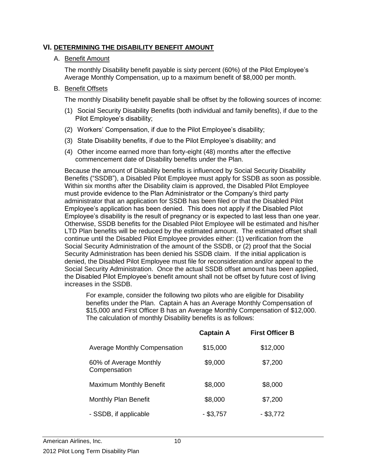### **VI. DETERMINING THE DISABILITY BENEFIT AMOUNT**

#### A. Benefit Amount

The monthly Disability benefit payable is sixty percent (60%) of the Pilot Employee's Average Monthly Compensation, up to a maximum benefit of \$8,000 per month.

#### B. Benefit Offsets

The monthly Disability benefit payable shall be offset by the following sources of income:

- (1) Social Security Disability Benefits (both individual and family benefits), if due to the Pilot Employee's disability;
- (2) Workers' Compensation, if due to the Pilot Employee's disability;
- (3) State Disability benefits, if due to the Pilot Employee's disability; and
- (4) Other income earned more than forty-eight (48) months after the effective commencement date of Disability benefits under the Plan.

Because the amount of Disability benefits is influenced by Social Security Disability Benefits ("SSDB"), a Disabled Pilot Employee must apply for SSDB as soon as possible. Within six months after the Disability claim is approved, the Disabled Pilot Employee must provide evidence to the Plan Administrator or the Company's third party administrator that an application for SSDB has been filed or that the Disabled Pilot Employee's application has been denied. This does not apply if the Disabled Pilot Employee's disability is the result of pregnancy or is expected to last less than one year. Otherwise, SSDB benefits for the Disabled Pilot Employee will be estimated and his/her LTD Plan benefits will be reduced by the estimated amount. The estimated offset shall continue until the Disabled Pilot Employee provides either: (1) verification from the Social Security Administration of the amount of the SSDB, or (2) proof that the Social Security Administration has been denied his SSDB claim. If the initial application is denied, the Disabled Pilot Employee must file for reconsideration and/or appeal to the Social Security Administration. Once the actual SSDB offset amount has been applied, the Disabled Pilot Employee's benefit amount shall not be offset by future cost of living increases in the SSDB.

For example, consider the following two pilots who are eligible for Disability benefits under the Plan. Captain A has an Average Monthly Compensation of \$15,000 and First Officer B has an Average Monthly Compensation of \$12,000. The calculation of monthly Disability benefits is as follows:

|                                        | <b>Captain A</b> | <b>First Officer B</b> |
|----------------------------------------|------------------|------------------------|
| <b>Average Monthly Compensation</b>    | \$15,000         | \$12,000               |
| 60% of Average Monthly<br>Compensation | \$9,000          | \$7,200                |
| <b>Maximum Monthly Benefit</b>         | \$8,000          | \$8,000                |
| Monthly Plan Benefit                   | \$8,000          | \$7,200                |
| - SSDB, if applicable                  | $-$ \$3,757      | $-$ \$3,772            |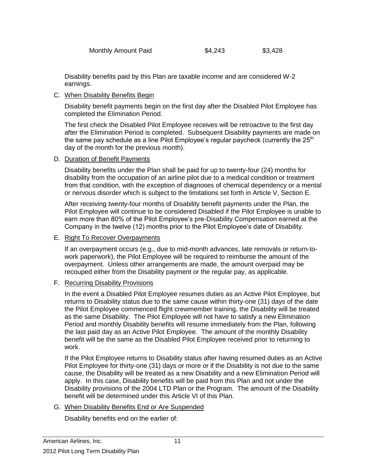Disability benefits paid by this Plan are taxable income and are considered W-2 earnings.

#### C. When Disability Benefits Begin

Disability benefit payments begin on the first day after the Disabled Pilot Employee has completed the Elimination Period.

The first check the Disabled Pilot Employee receives will be retroactive to the first day after the Elimination Period is completed. Subsequent Disability payments are made on the same pay schedule as a line Pilot Employee's regular paycheck (currently the  $25<sup>th</sup>$ day of the month for the previous month).

#### D. Duration of Benefit Payments

Disability benefits under the Plan shall be paid for up to twenty-four (24) months for disability from the occupation of an airline pilot due to a medical condition or treatment from that condition, with the exception of diagnoses of chemical dependency or a mental or nervous disorder which is subject to the limitations set forth in Article V, Section E.

After receiving twenty-four months of Disability benefit payments under the Plan, the Pilot Employee will continue to be considered Disabled if the Pilot Employee is unable to earn more than 80% of the Pilot Employee's pre-Disability Compensation earned at the Company in the twelve (12) months prior to the Pilot Employee's date of Disability.

#### E. Right To Recover Overpayments

If an overpayment occurs (e.g., due to mid-month advances, late removals or return-towork paperwork), the Pilot Employee will be required to reimburse the amount of the overpayment. Unless other arrangements are made, the amount overpaid may be recouped either from the Disability payment or the regular pay, as applicable.

#### F. Recurring Disability Provisions

In the event a Disabled Pilot Employee resumes duties as an Active Pilot Employee, but returns to Disability status due to the same cause within thirty-one (31) days of the date the Pilot Employee commenced flight crewmember training, the Disability will be treated as the same Disability. The Pilot Employee will not have to satisfy a new Elimination Period and monthly Disability benefits will resume immediately from the Plan, following the last paid day as an Active Pilot Employee. The amount of the monthly Disability benefit will be the same as the Disabled Pilot Employee received prior to returning to work.

If the Pilot Employee returns to Disability status after having resumed duties as an Active Pilot Employee for thirty-one (31) days or more or if the Disability is not due to the same cause, the Disability will be treated as a new Disability and a new Elimination Period will apply. In this case, Disability benefits will be paid from this Plan and not under the Disability provisions of the 2004 LTD Plan or the Program. The amount of the Disability benefit will be determined under this Article VI of this Plan.

G. When Disability Benefits End or Are Suspended

Disability benefits end on the earlier of: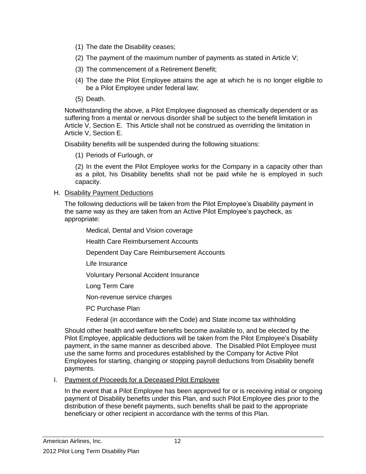- (1) The date the Disability ceases;
- (2) The payment of the maximum number of payments as stated in Article V;
- (3) The commencement of a Retirement Benefit;
- (4) The date the Pilot Employee attains the age at which he is no longer eligible to be a Pilot Employee under federal law;
- (5) Death.

Notwithstanding the above, a Pilot Employee diagnosed as chemically dependent or as suffering from a mental or nervous disorder shall be subject to the benefit limitation in Article V, Section E. This Article shall not be construed as overriding the limitation in Article V, Section E.

Disability benefits will be suspended during the following situations:

(1) Periods of Furlough, or

(2) In the event the Pilot Employee works for the Company in a capacity other than as a pilot, his Disability benefits shall not be paid while he is employed in such capacity.

#### H. Disability Payment Deductions

The following deductions will be taken from the Pilot Employee's Disability payment in the same way as they are taken from an Active Pilot Employee's paycheck, as appropriate:

Medical, Dental and Vision coverage

Health Care Reimbursement Accounts

Dependent Day Care Reimbursement Accounts

Life Insurance

Voluntary Personal Accident Insurance

Long Term Care

Non-revenue service charges

PC Purchase Plan

Federal (in accordance with the Code) and State income tax withholding

Should other health and welfare benefits become available to, and be elected by the Pilot Employee, applicable deductions will be taken from the Pilot Employee's Disability payment, in the same manner as described above. The Disabled Pilot Employee must use the same forms and procedures established by the Company for Active Pilot Employees for starting, changing or stopping payroll deductions from Disability benefit payments.

#### I. Payment of Proceeds for a Deceased Pilot Employee

In the event that a Pilot Employee has been approved for or is receiving initial or ongoing payment of Disability benefits under this Plan, and such Pilot Employee dies prior to the distribution of these benefit payments, such benefits shall be paid to the appropriate beneficiary or other recipient in accordance with the terms of this Plan.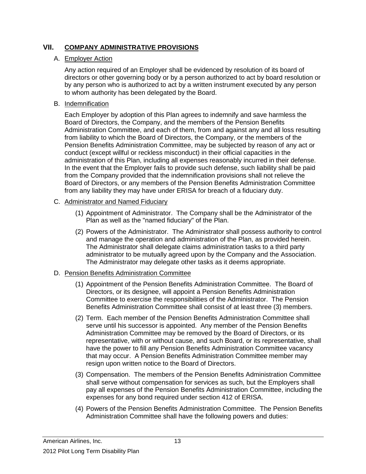# **VII. COMPANY ADMINISTRATIVE PROVISIONS**

#### A. Employer Action

Any action required of an Employer shall be evidenced by resolution of its board of directors or other governing body or by a person authorized to act by board resolution or by any person who is authorized to act by a written instrument executed by any person to whom authority has been delegated by the Board.

#### B. Indemnification

Each Employer by adoption of this Plan agrees to indemnify and save harmless the Board of Directors, the Company, and the members of the Pension Benefits Administration Committee, and each of them, from and against any and all loss resulting from liability to which the Board of Directors, the Company, or the members of the Pension Benefits Administration Committee, may be subjected by reason of any act or conduct (except willful or reckless misconduct) in their official capacities in the administration of this Plan, including all expenses reasonably incurred in their defense. In the event that the Employer fails to provide such defense, such liability shall be paid from the Company provided that the indemnification provisions shall not relieve the Board of Directors, or any members of the Pension Benefits Administration Committee from any liability they may have under ERISA for breach of a fiduciary duty.

#### C. Administrator and Named Fiduciary

- (1) Appointment of Administrator. The Company shall be the Administrator of the Plan as well as the "named fiduciary" of the Plan.
- (2) Powers of the Administrator. The Administrator shall possess authority to control and manage the operation and administration of the Plan, as provided herein. The Administrator shall delegate claims administration tasks to a third party administrator to be mutually agreed upon by the Company and the Association. The Administrator may delegate other tasks as it deems appropriate.

# D. Pension Benefits Administration Committee

- (1) Appointment of the Pension Benefits Administration Committee. The Board of Directors, or its designee, will appoint a Pension Benefits Administration Committee to exercise the responsibilities of the Administrator. The Pension Benefits Administration Committee shall consist of at least three (3) members.
- (2) Term. Each member of the Pension Benefits Administration Committee shall serve until his successor is appointed. Any member of the Pension Benefits Administration Committee may be removed by the Board of Directors, or its representative, with or without cause, and such Board, or its representative, shall have the power to fill any Pension Benefits Administration Committee vacancy that may occur. A Pension Benefits Administration Committee member may resign upon written notice to the Board of Directors.
- (3) Compensation. The members of the Pension Benefits Administration Committee shall serve without compensation for services as such, but the Employers shall pay all expenses of the Pension Benefits Administration Committee, including the expenses for any bond required under section 412 of ERISA.
- (4) Powers of the Pension Benefits Administration Committee. The Pension Benefits Administration Committee shall have the following powers and duties: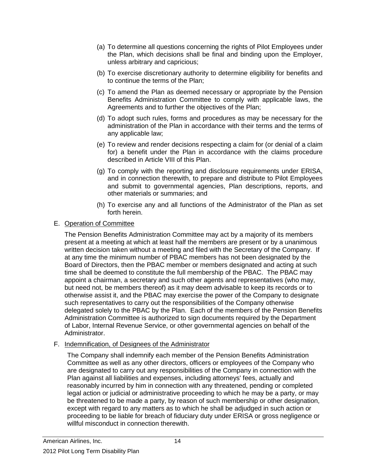- (a) To determine all questions concerning the rights of Pilot Employees under the Plan, which decisions shall be final and binding upon the Employer, unless arbitrary and capricious;
- (b) To exercise discretionary authority to determine eligibility for benefits and to continue the terms of the Plan;
- (c) To amend the Plan as deemed necessary or appropriate by the Pension Benefits Administration Committee to comply with applicable laws, the Agreements and to further the objectives of the Plan;
- (d) To adopt such rules, forms and procedures as may be necessary for the administration of the Plan in accordance with their terms and the terms of any applicable law;
- (e) To review and render decisions respecting a claim for (or denial of a claim for) a benefit under the Plan in accordance with the claims procedure described in Article VIII of this Plan.
- (g) To comply with the reporting and disclosure requirements under ERISA, and in connection therewith, to prepare and distribute to Pilot Employees and submit to governmental agencies, Plan descriptions, reports, and other materials or summaries; and
- (h) To exercise any and all functions of the Administrator of the Plan as set forth herein.

#### E. Operation of Committee

The Pension Benefits Administration Committee may act by a majority of its members present at a meeting at which at least half the members are present or by a unanimous written decision taken without a meeting and filed with the Secretary of the Company. If at any time the minimum number of PBAC members has not been designated by the Board of Directors, then the PBAC member or members designated and acting at such time shall be deemed to constitute the full membership of the PBAC. The PBAC may appoint a chairman, a secretary and such other agents and representatives (who may, but need not, be members thereof) as it may deem advisable to keep its records or to otherwise assist it, and the PBAC may exercise the power of the Company to designate such representatives to carry out the responsibilities of the Company otherwise delegated solely to the PBAC by the Plan. Each of the members of the Pension Benefits Administration Committee is authorized to sign documents required by the Department of Labor, Internal Revenue Service, or other governmental agencies on behalf of the Administrator.

#### F. Indemnification, of Designees of the Administrator

The Company shall indemnify each member of the Pension Benefits Administration Committee as well as any other directors, officers or employees of the Company who are designated to carry out any responsibilities of the Company in connection with the Plan against all liabilities and expenses, including attorneys' fees, actually and reasonably incurred by him in connection with any threatened, pending or completed legal action or judicial or administrative proceeding to which he may be a party, or may be threatened to be made a party, by reason of such membership or other designation, except with regard to any matters as to which he shall be adjudged in such action or proceeding to be liable for breach of fiduciary duty under ERISA or gross negligence or willful misconduct in connection therewith.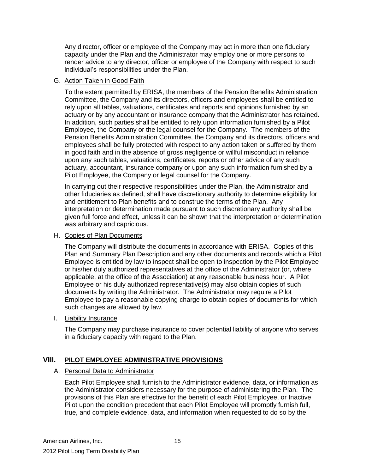Any director, officer or employee of the Company may act in more than one fiduciary capacity under the Plan and the Administrator may employ one or more persons to render advice to any director, officer or employee of the Company with respect to such individual's responsibilities under the Plan.

### G. Action Taken in Good Faith

To the extent permitted by ERISA, the members of the Pension Benefits Administration Committee, the Company and its directors, officers and employees shall be entitled to rely upon all tables, valuations, certificates and reports and opinions furnished by an actuary or by any accountant or insurance company that the Administrator has retained. In addition, such parties shall be entitled to rely upon information furnished by a Pilot Employee, the Company or the legal counsel for the Company. The members of the Pension Benefits Administration Committee, the Company and its directors, officers and employees shall be fully protected with respect to any action taken or suffered by them in good faith and in the absence of gross negligence or willful misconduct in reliance upon any such tables, valuations, certificates, reports or other advice of any such actuary, accountant, insurance company or upon any such information furnished by a Pilot Employee, the Company or legal counsel for the Company.

In carrying out their respective responsibilities under the Plan, the Administrator and other fiduciaries as defined, shall have discretionary authority to determine eligibility for and entitlement to Plan benefits and to construe the terms of the Plan. Any interpretation or determination made pursuant to such discretionary authority shall be given full force and effect, unless it can be shown that the interpretation or determination was arbitrary and capricious.

### H. Copies of Plan Documents

The Company will distribute the documents in accordance with ERISA. Copies of this Plan and Summary Plan Description and any other documents and records which a Pilot Employee is entitled by law to inspect shall be open to inspection by the Pilot Employee or his/her duly authorized representatives at the office of the Administrator (or, where applicable, at the office of the Association) at any reasonable business hour. A Pilot Employee or his duly authorized representative(s) may also obtain copies of such documents by writing the Administrator. The Administrator may require a Pilot Employee to pay a reasonable copying charge to obtain copies of documents for which such changes are allowed by law.

# I. Liability Insurance

The Company may purchase insurance to cover potential liability of anyone who serves in a fiduciary capacity with regard to the Plan.

# **VIII. PILOT EMPLOYEE ADMINISTRATIVE PROVISIONS**

# A. Personal Data to Administrator

Each Pilot Employee shall furnish to the Administrator evidence, data, or information as the Administrator considers necessary for the purpose of administering the Plan. The provisions of this Plan are effective for the benefit of each Pilot Employee, or Inactive Pilot upon the condition precedent that each Pilot Employee will promptly furnish full, true, and complete evidence, data, and information when requested to do so by the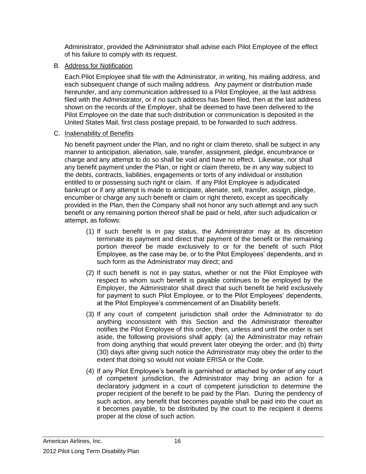Administrator, provided the Administrator shall advise each Pilot Employee of the effect of his failure to comply with its request.

#### B. Address for Notification

Each Pilot Employee shall file with the Administrator, in writing, his mailing address, and each subsequent change of such mailing address. Any payment or distribution made hereunder, and any communication addressed to a Pilot Employee, at the last address filed with the Administrator, or if no such address has been filed, then at the last address shown on the records of the Employer, shall be deemed to have been delivered to the Pilot Employee on the date that such distribution or communication is deposited in the United States Mail, first class postage prepaid, to be forwarded to such address.

#### C. Inalienability of Benefits

No benefit payment under the Plan, and no right or claim thereto, shall be subject in any manner to anticipation, alienation, sale, transfer, assignment, pledge, encumbrance or charge and any attempt to do so shall be void and have no effect. Likewise, nor shall any benefit payment under the Plan, or right or claim thereto, be in any way subject to the debts, contracts, liabilities, engagements or torts of any individual or institution entitled to or possessing such right or claim. If any Pilot Employee is adjudicated bankrupt or if any attempt is made to anticipate, alienate, sell, transfer, assign, pledge, encumber or charge any such benefit or claim or right thereto, except as specifically provided in the Plan, then the Company shall not honor any such attempt and any such benefit or any remaining portion thereof shall be paid or held, after such adjudication or attempt, as follows:

- (1) If such benefit is in pay status, the Administrator may at its discretion terminate its payment and direct that payment of the benefit or the remaining portion thereof be made exclusively to or for the benefit of such Pilot Employee, as the case may be, or to the Pilot Employees' dependents, and in such form as the Administrator may direct; and
- (2) If such benefit is not in pay status, whether or not the Pilot Employee with respect to whom such benefit is payable continues to be employed by the Employer, the Administrator shall direct that such benefit be held exclusively for payment to such Pilot Employee, or to the Pilot Employees' dependents, at the Pilot Employee's commencement of an Disability benefit.
- (3) If any court of competent jurisdiction shall order the Administrator to do anything inconsistent with this Section and the Administrator thereafter notifies the Pilot Employee of this order, then, unless and until the order is set aside, the following provisions shall apply: (a) the Administrator may refrain from doing anything that would prevent later obeying the order; and (b) thirty (30) days after giving such notice the Administrator may obey the order to the extent that doing so would not violate ERISA or the Code.
- (4) If any Pilot Employee's benefit is garnished or attached by order of any court of competent jurisdiction, the Administrator may bring an action for a declaratory judgment in a court of competent jurisdiction to determine the proper recipient of the benefit to be paid by the Plan. During the pendency of such action, any benefit that becomes payable shall be paid into the court as it becomes payable, to be distributed by the court to the recipient it deems proper at the close of such action.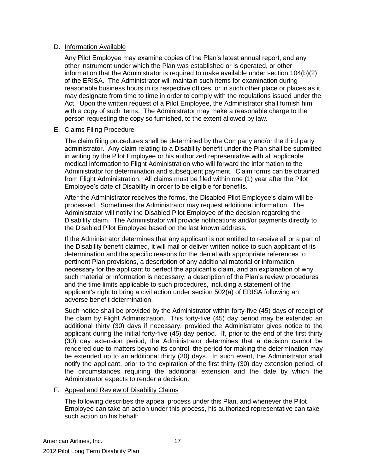#### D. Information Available

Any Pilot Employee may examine copies of the Plan's latest annual report, and any other instrument under which the Plan was established or is operated, or other information that the Administrator is required to make available under section 104(b)(2) of the ERISA. The Administrator will maintain such items for examination during reasonable business hours in its respective offices, or in such other place or places as it may designate from time to time in order to comply with the regulations issued under the Act. Upon the written request of a Pilot Employee, the Administrator shall furnish him with a copy of such items. The Administrator may make a reasonable charge to the person requesting the copy so furnished, to the extent allowed by law.

#### E. Claims Filing Procedure

The claim filing procedures shall be determined by the Company and/or the third party administrator. Any claim relating to a Disability benefit under the Plan shall be submitted in writing by the Pilot Employee or his authorized representative with all applicable medical information to Flight Administration who will forward the information to the Administrator for determination and subsequent payment. Claim forms can be obtained from Flight Administration. All claims must be filed within one (1) year after the Pilot Employee's date of Disability in order to be eligible for benefits.

After the Administrator receives the forms, the Disabled Pilot Employee's claim will be processed. Sometimes the Administrator may request additional information. The Administrator will notify the Disabled Pilot Employee of the decision regarding the Disability claim. The Administrator will provide notifications and/or payments directly to the Disabled Pilot Employee based on the last known address.

If the Administrator determines that any applicant is not entitled to receive all or a part of the Disability benefit claimed, it will mail or deliver written notice to such applicant of its determination and the specific reasons for the denial with appropriate references to pertinent Plan provisions, a description of any additional material or information necessary for the applicant to perfect the applicant's claim, and an explanation of why such material or information is necessary, a description of the Plan's review procedures and the time limits applicable to such procedures, including a statement of the applicant's right to bring a civil action under section 502(a) of ERISA following an adverse benefit determination.

Such notice shall be provided by the Administrator within forty-five (45) days of receipt of the claim by Flight Administration. This forty-five (45) day period may be extended an additional thirty (30) days if necessary, provided the Administrator gives notice to the applicant during the initial forty-five (45) day period. If, prior to the end of the first thirty (30) day extension period, the Administrator determines that a decision cannot be rendered due to matters beyond its control, the period for making the determination may be extended up to an additional thirty (30) days. In such event, the Administrator shall notify the applicant, prior to the expiration of the first thirty (30) day extension period, of the circumstances requiring the additional extension and the date by which the Administrator expects to render a decision.

F. Appeal and Review of Disability Claims

The following describes the appeal process under this Plan, and whenever the Pilot Employee can take an action under this process, his authorized representative can take such action on his behalf: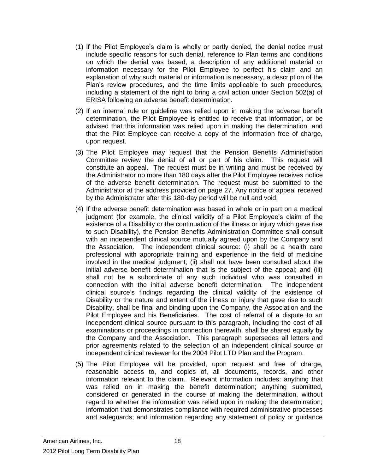- (1) If the Pilot Employee's claim is wholly or partly denied, the denial notice must include specific reasons for such denial, reference to Plan terms and conditions on which the denial was based, a description of any additional material or information necessary for the Pilot Employee to perfect his claim and an explanation of why such material or information is necessary, a description of the Plan's review procedures, and the time limits applicable to such procedures, including a statement of the right to bring a civil action under Section 502(a) of ERISA following an adverse benefit determination.
- (2) If an internal rule or guideline was relied upon in making the adverse benefit determination, the Pilot Employee is entitled to receive that information, or be advised that this information was relied upon in making the determination, and that the Pilot Employee can receive a copy of the information free of charge, upon request.
- (3) The Pilot Employee may request that the Pension Benefits Administration Committee review the denial of all or part of his claim. This request will constitute an appeal. The request must be in writing and must be received by the Administrator no more than 180 days after the Pilot Employee receives notice of the adverse benefit determination. The request must be submitted to the Administrator at the address provided on page 27. Any notice of appeal received by the Administrator after this 180-day period will be null and void.
- (4) If the adverse benefit determination was based in whole or in part on a medical judgment (for example, the clinical validity of a Pilot Employee's claim of the existence of a Disability or the continuation of the illness or injury which gave rise to such Disability), the Pension Benefits Administration Committee shall consult with an independent clinical source mutually agreed upon by the Company and the Association. The independent clinical source: (i) shall be a health care professional with appropriate training and experience in the field of medicine involved in the medical judgment; (ii) shall not have been consulted about the initial adverse benefit determination that is the subject of the appeal; and (iii) shall not be a subordinate of any such individual who was consulted in connection with the initial adverse benefit determination. The independent clinical source's findings regarding the clinical validity of the existence of Disability or the nature and extent of the illness or injury that gave rise to such Disability, shall be final and binding upon the Company, the Association and the Pilot Employee and his Beneficiaries. The cost of referral of a dispute to an independent clinical source pursuant to this paragraph, including the cost of all examinations or proceedings in connection therewith, shall be shared equally by the Company and the Association. This paragraph supersedes all letters and prior agreements related to the selection of an independent clinical source or independent clinical reviewer for the 2004 Pilot LTD Plan and the Program.
- (5) The Pilot Employee will be provided, upon request and free of charge, reasonable access to, and copies of, all documents, records, and other information relevant to the claim. Relevant information includes: anything that was relied on in making the benefit determination; anything submitted, considered or generated in the course of making the determination, without regard to whether the information was relied upon in making the determination; information that demonstrates compliance with required administrative processes and safeguards; and information regarding any statement of policy or guidance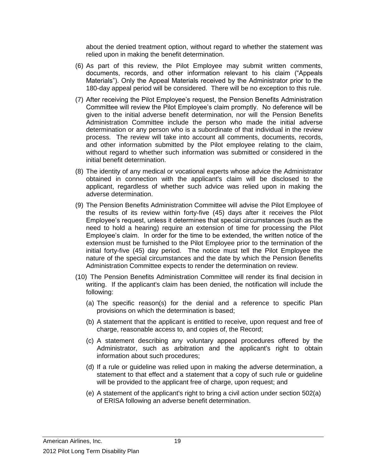about the denied treatment option, without regard to whether the statement was relied upon in making the benefit determination.

- (6) As part of this review, the Pilot Employee may submit written comments, documents, records, and other information relevant to his claim ("Appeals Materials"). Only the Appeal Materials received by the Administrator prior to the 180-day appeal period will be considered. There will be no exception to this rule.
- (7) After receiving the Pilot Employee's request, the Pension Benefits Administration Committee will review the Pilot Employee's claim promptly. No deference will be given to the initial adverse benefit determination, nor will the Pension Benefits Administration Committee include the person who made the initial adverse determination or any person who is a subordinate of that individual in the review process. The review will take into account all comments, documents, records, and other information submitted by the Pilot employee relating to the claim, without regard to whether such information was submitted or considered in the initial benefit determination.
- (8) The identity of any medical or vocational experts whose advice the Administrator obtained in connection with the applicant's claim will be disclosed to the applicant, regardless of whether such advice was relied upon in making the adverse determination.
- (9) The Pension Benefits Administration Committee will advise the Pilot Employee of the results of its review within forty-five (45) days after it receives the Pilot Employee's request, unless it determines that special circumstances (such as the need to hold a hearing) require an extension of time for processing the Pilot Employee's claim. In order for the time to be extended, the written notice of the extension must be furnished to the Pilot Employee prior to the termination of the initial forty-five (45) day period. The notice must tell the Pilot Employee the nature of the special circumstances and the date by which the Pension Benefits Administration Committee expects to render the determination on review.
- (10) The Pension Benefits Administration Committee will render its final decision in writing. If the applicant's claim has been denied, the notification will include the following:
	- (a) The specific reason(s) for the denial and a reference to specific Plan provisions on which the determination is based;
	- (b) A statement that the applicant is entitled to receive, upon request and free of charge, reasonable access to, and copies of, the Record;
	- (c) A statement describing any voluntary appeal procedures offered by the Administrator, such as arbitration and the applicant's right to obtain information about such procedures;
	- (d) If a rule or guideline was relied upon in making the adverse determination, a statement to that effect and a statement that a copy of such rule or guideline will be provided to the applicant free of charge, upon request; and
	- (e) A statement of the applicant's right to bring a civil action under section 502(a) of ERISA following an adverse benefit determination.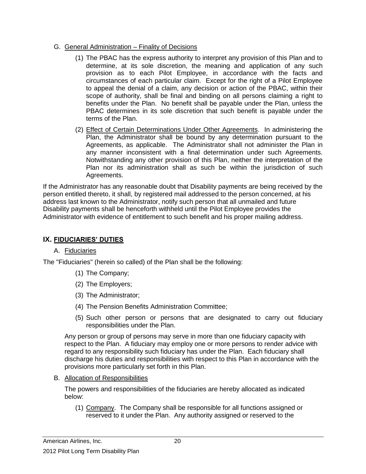#### G. General Administration – Finality of Decisions

- (1) The PBAC has the express authority to interpret any provision of this Plan and to determine, at its sole discretion, the meaning and application of any such provision as to each Pilot Employee, in accordance with the facts and circumstances of each particular claim. Except for the right of a Pilot Employee to appeal the denial of a claim, any decision or action of the PBAC, within their scope of authority, shall be final and binding on all persons claiming a right to benefits under the Plan. No benefit shall be payable under the Plan, unless the PBAC determines in its sole discretion that such benefit is payable under the terms of the Plan.
- (2) Effect of Certain Determinations Under Other Agreements. In administering the Plan, the Administrator shall be bound by any determination pursuant to the Agreements, as applicable. The Administrator shall not administer the Plan in any manner inconsistent with a final determination under such Agreements. Notwithstanding any other provision of this Plan, neither the interpretation of the Plan nor its administration shall as such be within the jurisdiction of such Agreements.

If the Administrator has any reasonable doubt that Disability payments are being received by the person entitled thereto, it shall, by registered mail addressed to the person concerned, at his address last known to the Administrator, notify such person that all unmailed and future Disability payments shall be henceforth withheld until the Pilot Employee provides the Administrator with evidence of entitlement to such benefit and his proper mailing address.

# **IX. FIDUCIARIES' DUTIES**

#### A. Fiduciaries

The "Fiduciaries" (herein so called) of the Plan shall be the following:

- (1) The Company;
- (2) The Employers;
- (3) The Administrator;
- (4) The Pension Benefits Administration Committee;
- (5) Such other person or persons that are designated to carry out fiduciary responsibilities under the Plan.

Any person or group of persons may serve in more than one fiduciary capacity with respect to the Plan. A fiduciary may employ one or more persons to render advice with regard to any responsibility such fiduciary has under the Plan. Each fiduciary shall discharge his duties and responsibilities with respect to this Plan in accordance with the provisions more particularly set forth in this Plan.

B. Allocation of Responsibilities

The powers and responsibilities of the fiduciaries are hereby allocated as indicated below:

(1) Company. The Company shall be responsible for all functions assigned or reserved to it under the Plan. Any authority assigned or reserved to the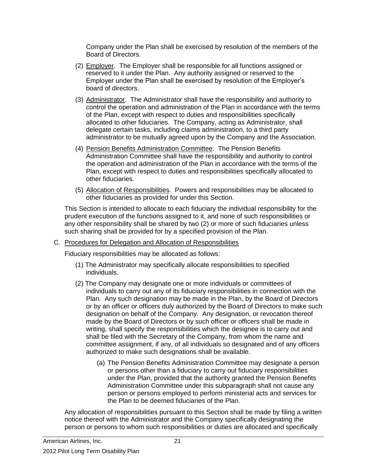Company under the Plan shall be exercised by resolution of the members of the Board of Directors.

- (2) Employer. The Employer shall be responsible for all functions assigned or reserved to it under the Plan. Any authority assigned or reserved to the Employer under the Plan shall be exercised by resolution of the Employer's board of directors.
- (3) Administrator. The Administrator shall have the responsibility and authority to control the operation and administration of the Plan in accordance with the terms of the Plan, except with respect to duties and responsibilities specifically allocated to other fiduciaries. The Company, acting as Administrator, shall delegate certain tasks, including claims administration, to a third party administrator to be mutually agreed upon by the Company and the Association.
- (4) Pension Benefits Administration Committee. The Pension Benefits Administration Committee shall have the responsibility and authority to control the operation and administration of the Plan in accordance with the terms of the Plan, except with respect to duties and responsibilities specifically allocated to other fiduciaries.
- (5) Allocation of Responsibilities. Powers and responsibilities may be allocated to other fiduciaries as provided for under this Section.

This Section is intended to allocate to each fiduciary the individual responsibility for the prudent execution of the functions assigned to it, and none of such responsibilities or any other responsibility shall be shared by two (2) or more of such fiduciaries unless such sharing shall be provided for by a specified provision of the Plan.

#### C. Procedures for Delegation and Allocation of Responsibilities

Fiduciary responsibilities may be allocated as follows:

- (1) The Administrator may specifically allocate responsibilities to specified individuals.
- (2) The Company may designate one or more individuals or committees of individuals to carry out any of its fiduciary responsibilities in connection with the Plan. Any such designation may be made in the Plan, by the Board of Directors or by an officer or officers duly authorized by the Board of Directors to make such designation on behalf of the Company. Any designation, or revocation thereof made by the Board of Directors or by such officer or officers shall be made in writing, shall specify the responsibilities which the designee is to carry out and shall be filed with the Secretary of the Company, from whom the name and committee assignment, if any, of all individuals so designated and of any officers authorized to make such designations shall be available.
	- (a) The Pension Benefits Administration Committee may designate a person or persons other than a fiduciary to carry out fiduciary responsibilities under the Plan, provided that the authority granted the Pension Benefits Administration Committee under this subparagraph shall not cause any person or persons employed to perform ministerial acts and services for the Plan to be deemed fiduciaries of the Plan.

Any allocation of responsibilities pursuant to this Section shall be made by filing a written notice thereof with the Administrator and the Company specifically designating the person or persons to whom such responsibilities or duties are allocated and specifically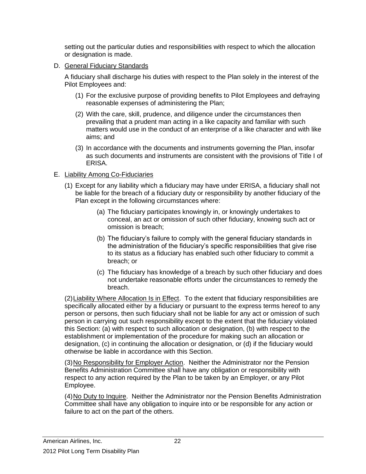setting out the particular duties and responsibilities with respect to which the allocation or designation is made.

D. General Fiduciary Standards

A fiduciary shall discharge his duties with respect to the Plan solely in the interest of the Pilot Employees and:

- (1) For the exclusive purpose of providing benefits to Pilot Employees and defraying reasonable expenses of administering the Plan;
- (2) With the care, skill, prudence, and diligence under the circumstances then prevailing that a prudent man acting in a like capacity and familiar with such matters would use in the conduct of an enterprise of a like character and with like aims; and
- (3) In accordance with the documents and instruments governing the Plan, insofar as such documents and instruments are consistent with the provisions of Title I of ERISA.

# E. Liability Among Co-Fiduciaries

- (1) Except for any liability which a fiduciary may have under ERISA, a fiduciary shall not be liable for the breach of a fiduciary duty or responsibility by another fiduciary of the Plan except in the following circumstances where:
	- (a) The fiduciary participates knowingly in, or knowingly undertakes to conceal, an act or omission of such other fiduciary, knowing such act or omission is breach;
	- (b) The fiduciary's failure to comply with the general fiduciary standards in the administration of the fiduciary's specific responsibilities that give rise to its status as a fiduciary has enabled such other fiduciary to commit a breach; or
	- (c) The fiduciary has knowledge of a breach by such other fiduciary and does not undertake reasonable efforts under the circumstances to remedy the breach.

(2)Liability Where Allocation Is in Effect. To the extent that fiduciary responsibilities are specifically allocated either by a fiduciary or pursuant to the express terms hereof to any person or persons, then such fiduciary shall not be liable for any act or omission of such person in carrying out such responsibility except to the extent that the fiduciary violated this Section: (a) with respect to such allocation or designation, (b) with respect to the establishment or implementation of the procedure for making such an allocation or designation, (c) in continuing the allocation or designation, or (d) if the fiduciary would otherwise be liable in accordance with this Section.

(3)No Responsibility for Employer Action. Neither the Administrator nor the Pension Benefits Administration Committee shall have any obligation or responsibility with respect to any action required by the Plan to be taken by an Employer, or any Pilot Employee.

(4)No Duty to Inquire. Neither the Administrator nor the Pension Benefits Administration Committee shall have any obligation to inquire into or be responsible for any action or failure to act on the part of the others.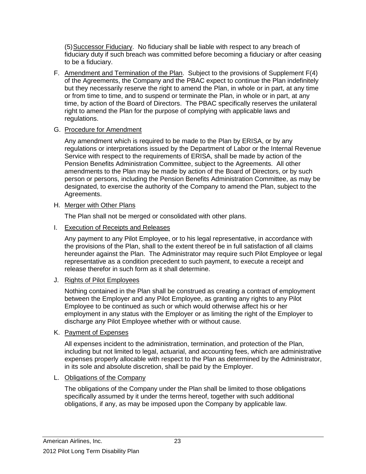(5)Successor Fiduciary. No fiduciary shall be liable with respect to any breach of fiduciary duty if such breach was committed before becoming a fiduciary or after ceasing to be a fiduciary.

- F. Amendment and Termination of the Plan. Subject to the provisions of Supplement F(4) of the Agreements, the Company and the PBAC expect to continue the Plan indefinitely but they necessarily reserve the right to amend the Plan, in whole or in part, at any time or from time to time, and to suspend or terminate the Plan, in whole or in part, at any time, by action of the Board of Directors. The PBAC specifically reserves the unilateral right to amend the Plan for the purpose of complying with applicable laws and regulations.
- G. Procedure for Amendment

Any amendment which is required to be made to the Plan by ERISA, or by any regulations or interpretations issued by the Department of Labor or the Internal Revenue Service with respect to the requirements of ERISA, shall be made by action of the Pension Benefits Administration Committee, subject to the Agreements. All other amendments to the Plan may be made by action of the Board of Directors, or by such person or persons, including the Pension Benefits Administration Committee, as may be designated, to exercise the authority of the Company to amend the Plan, subject to the Agreements.

#### H. Merger with Other Plans

The Plan shall not be merged or consolidated with other plans.

I. Execution of Receipts and Releases

Any payment to any Pilot Employee, or to his legal representative, in accordance with the provisions of the Plan, shall to the extent thereof be in full satisfaction of all claims hereunder against the Plan. The Administrator may require such Pilot Employee or legal representative as a condition precedent to such payment, to execute a receipt and release therefor in such form as it shall determine.

J. Rights of Pilot Employees

Nothing contained in the Plan shall be construed as creating a contract of employment between the Employer and any Pilot Employee, as granting any rights to any Pilot Employee to be continued as such or which would otherwise affect his or her employment in any status with the Employer or as limiting the right of the Employer to discharge any Pilot Employee whether with or without cause.

K. Payment of Expenses

All expenses incident to the administration, termination, and protection of the Plan, including but not limited to legal, actuarial, and accounting fees, which are administrative expenses properly allocable with respect to the Plan as determined by the Administrator, in its sole and absolute discretion, shall be paid by the Employer.

# L. Obligations of the Company

The obligations of the Company under the Plan shall be limited to those obligations specifically assumed by it under the terms hereof, together with such additional obligations, if any, as may be imposed upon the Company by applicable law.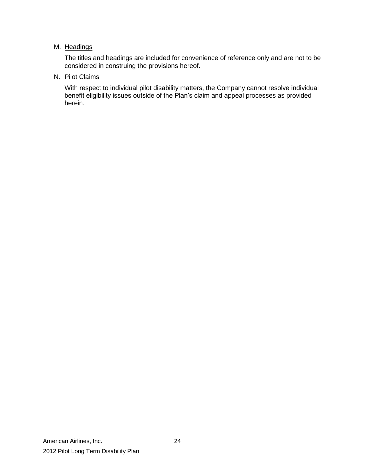#### M. Headings

The titles and headings are included for convenience of reference only and are not to be considered in construing the provisions hereof.

#### N. Pilot Claims

With respect to individual pilot disability matters, the Company cannot resolve individual benefit eligibility issues outside of the Plan's claim and appeal processes as provided herein.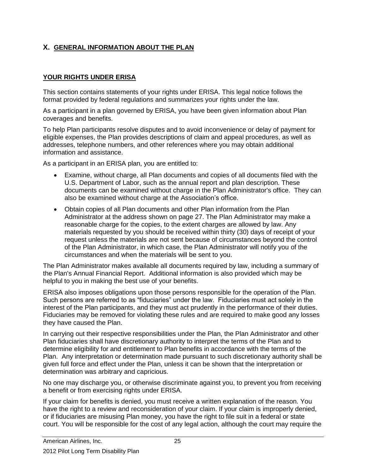# **X. GENERAL INFORMATION ABOUT THE PLAN**

# **YOUR RIGHTS UNDER ERISA**

This section contains statements of your rights under ERISA. This legal notice follows the format provided by federal regulations and summarizes your rights under the law.

As a participant in a plan governed by ERISA, you have been given information about Plan coverages and benefits.

To help Plan participants resolve disputes and to avoid inconvenience or delay of payment for eligible expenses, the Plan provides descriptions of claim and appeal procedures, as well as addresses, telephone numbers, and other references where you may obtain additional information and assistance.

As a participant in an ERISA plan, you are entitled to:

- Examine, without charge, all Plan documents and copies of all documents filed with the U.S. Department of Labor, such as the annual report and plan description. These documents can be examined without charge in the Plan Administrator's office. They can also be examined without charge at the Association's office.
- Obtain copies of all Plan documents and other Plan information from the Plan Administrator at the address shown on page 27. The Plan Administrator may make a reasonable charge for the copies, to the extent charges are allowed by law. Any materials requested by you should be received within thirty (30) days of receipt of your request unless the materials are not sent because of circumstances beyond the control of the Plan Administrator, in which case, the Plan Administrator will notify you of the circumstances and when the materials will be sent to you.

The Plan Administrator makes available all documents required by law, including a summary of the Plan's Annual Financial Report. Additional information is also provided which may be helpful to you in making the best use of your benefits.

ERISA also imposes obligations upon those persons responsible for the operation of the Plan. Such persons are referred to as "fiduciaries" under the law. Fiduciaries must act solely in the interest of the Plan participants, and they must act prudently in the performance of their duties. Fiduciaries may be removed for violating these rules and are required to make good any losses they have caused the Plan.

In carrying out their respective responsibilities under the Plan, the Plan Administrator and other Plan fiduciaries shall have discretionary authority to interpret the terms of the Plan and to determine eligibility for and entitlement to Plan benefits in accordance with the terms of the Plan. Any interpretation or determination made pursuant to such discretionary authority shall be given full force and effect under the Plan, unless it can be shown that the interpretation or determination was arbitrary and capricious.

No one may discharge you, or otherwise discriminate against you, to prevent you from receiving a benefit or from exercising rights under ERISA.

If your claim for benefits is denied, you must receive a written explanation of the reason. You have the right to a review and reconsideration of your claim. If your claim is improperly denied, or if fiduciaries are misusing Plan money, you have the right to file suit in a federal or state court. You will be responsible for the cost of any legal action, although the court may require the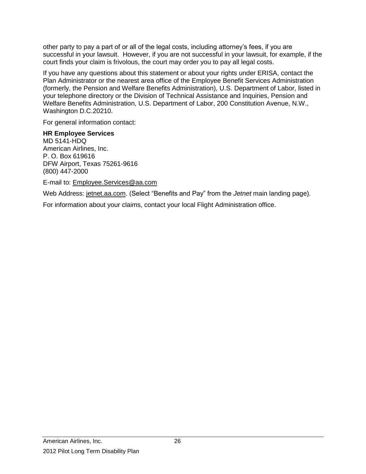other party to pay a part of or all of the legal costs, including attorney's fees, if you are successful in your lawsuit. However, if you are not successful in your lawsuit, for example, if the court finds your claim is frivolous, the court may order you to pay all legal costs.

If you have any questions about this statement or about your rights under ERISA, contact the Plan Administrator or the nearest area office of the Employee Benefit Services Administration (formerly, the Pension and Welfare Benefits Administration), U.S. Department of Labor, listed in your telephone directory or the Division of Technical Assistance and Inquiries, Pension and Welfare Benefits Administration, U.S. Department of Labor, 200 Constitution Avenue, N.W., Washington D.C.20210.

For general information contact:

# **HR Employee Services**

MD 5141-HDQ American Airlines, Inc. P. O. Box 619616 DFW Airport, Texas 75261-9616 (800) 447-2000

E-mail to: [Employee.Services@aa.com](mailto:Employee.Services@aa.com)

Web Address: [jetnet.aa.com.](http://jetnet.aa.com/) (Select "Benefits and Pay" from the *Jetnet* main landing page).

For information about your claims, contact your local Flight Administration office.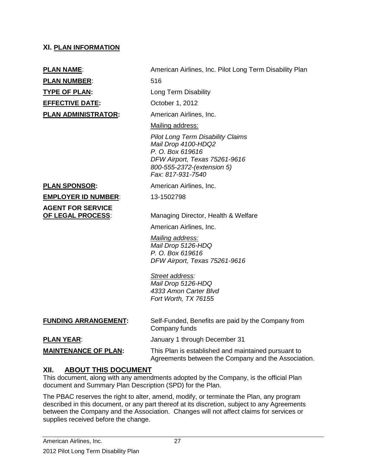#### **XI. PLAN INFORMATION**

**PLAN NUMBER:** 516 **TYPE OF PLAN:** Long Term Disability **EFFECTIVE DATE:** October 1, 2012

**PLAN NAME:** American Airlines, Inc. Pilot Long Term Disability Plan

**PLAN ADMINISTRATOR:** American Airlines, Inc.

Mailing address:

*Pilot Long Term Disability Claims Mail Drop 4100-HDQ2 P. O. Box 619616 DFW Airport, Texas 75261-9616 800-555-2372-(extension 5) Fax: 817-931-7540*

#### **PLAN SPONSOR:** American Airlines, Inc.

**EMPLOYER ID NUMBER:** 13-1502798

**AGENT FOR SERVICE** 

**OF LEGAL PROCESS**: Managing Director, Health & Welfare

American Airlines, Inc.

*Mailing address: Mail Drop 5126-HDQ P. O. Box 619616 DFW Airport, Texas 75261-9616*

#### *Street address:*

*Mail Drop 5126-HDQ 4333 Amon Carter Blvd Fort Worth, TX 76155*

| <b>FUNDING ARRANGEMENT:</b> | Self-Funded, Benefits are paid by the Company from<br>Company funds                                        |
|-----------------------------|------------------------------------------------------------------------------------------------------------|
| <b>PLAN YEAR:</b>           | January 1 through December 31                                                                              |
| <b>MAINTENANCE OF PLAN:</b> | This Plan is established and maintained pursuant to<br>Agreements between the Company and the Association. |

#### **XII. ABOUT THIS DOCUMENT**

This document, along with any amendments adopted by the Company, is the official Plan document and Summary Plan Description (SPD) for the Plan.

The PBAC reserves the right to alter, amend, modify, or terminate the Plan, any program described in this document, or any part thereof at its discretion, subject to any Agreements between the Company and the Association. Changes will not affect claims for services or supplies received before the change.